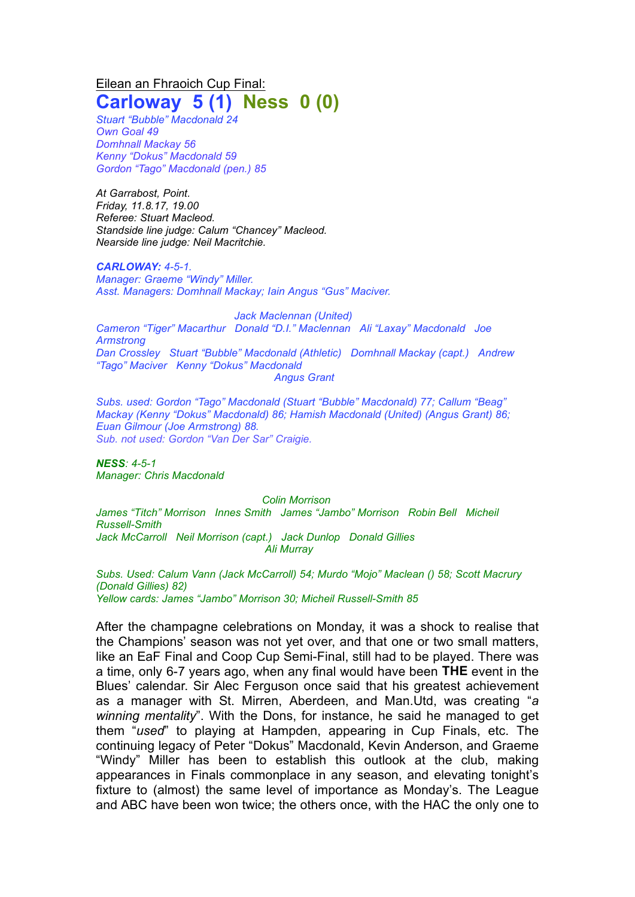Eilean an Fhraoich Cup Final:

## **Carloway 5 (1) Ness 0 (0)**

*Stuart "Bubble" Macdonald 24 Own Goal 49 Domhnall Mackay 56 Kenny "Dokus" Macdonald 59 Gordon "Tago" Macdonald (pen.) 85*

*At Garrabost, Point. Friday, 11.8.17, 19.00 Referee: Stuart Macleod. Standside line judge: Calum "Chancey" Macleod. Nearside line judge: Neil Macritchie.*

*CARLOWAY: 4-5-1. Manager: Graeme "Windy" Miller. Asst. Managers: Domhnall Mackay; Iain Angus "Gus" Maciver.*

*Jack Maclennan (United) Cameron "Tiger" Macarthur Donald "D.I." Maclennan Ali "Laxay" Macdonald Joe Armstrong Dan Crossley Stuart "Bubble" Macdonald (Athletic) Domhnall Mackay (capt.) Andrew "Tago" Maciver Kenny "Dokus" Macdonald Angus Grant*

*Subs. used: Gordon "Tago" Macdonald (Stuart "Bubble" Macdonald) 77; Callum "Beag" Mackay (Kenny "Dokus" Macdonald) 86; Hamish Macdonald (United) (Angus Grant) 86; Euan Gilmour (Joe Armstrong) 88. Sub. not used: Gordon "Van Der Sar" Craigie.*

*NESS: 4-5-1 Manager: Chris Macdonald*

*Colin Morrison James "Titch" Morrison Innes Smith James "Jambo" Morrison Robin Bell Micheil Russell-Smith Jack McCarroll Neil Morrison (capt.) Jack Dunlop Donald Gillies Ali Murray*

*Subs. Used: Calum Vann (Jack McCarroll) 54; Murdo "Mojo" Maclean () 58; Scott Macrury (Donald Gillies) 82) Yellow cards: James "Jambo" Morrison 30; Micheil Russell-Smith 85*

After the champagne celebrations on Monday, it was a shock to realise that the Champions' season was not yet over, and that one or two small matters, like an EaF Final and Coop Cup Semi-Final, still had to be played. There was a time, only 6-7 years ago, when any final would have been **THE** event in the Blues' calendar. Sir Alec Ferguson once said that his greatest achievement as a manager with St. Mirren, Aberdeen, and Man.Utd, was creating "*a winning mentality*". With the Dons, for instance, he said he managed to get them "*used*" to playing at Hampden, appearing in Cup Finals, etc. The continuing legacy of Peter "Dokus" Macdonald, Kevin Anderson, and Graeme "Windy" Miller has been to establish this outlook at the club, making appearances in Finals commonplace in any season, and elevating tonight's fixture to (almost) the same level of importance as Monday's. The League and ABC have been won twice; the others once, with the HAC the only one to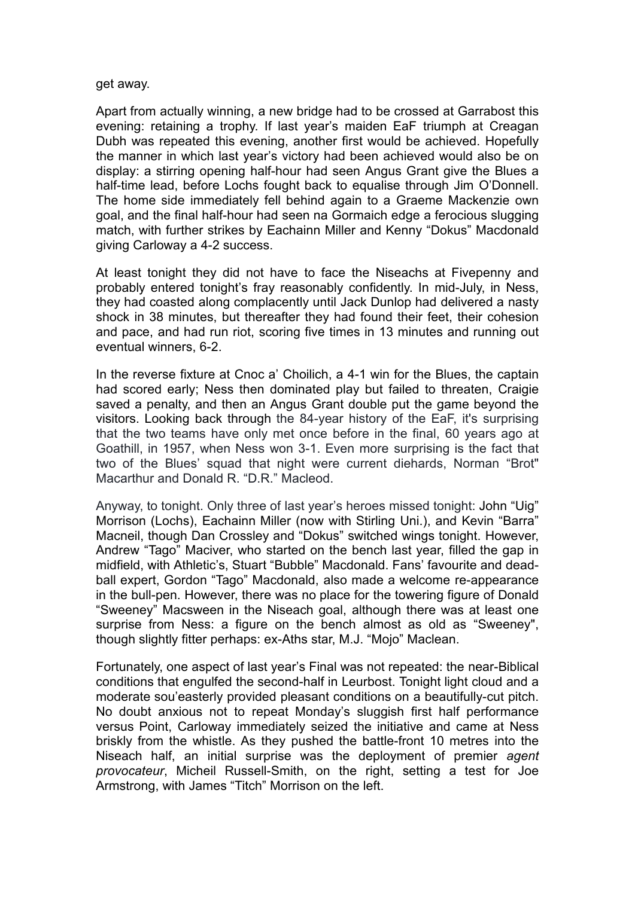## get away.

Apart from actually winning, a new bridge had to be crossed at Garrabost this evening: retaining a trophy. If last year's maiden EaF triumph at Creagan Dubh was repeated this evening, another first would be achieved. Hopefully the manner in which last year's victory had been achieved would also be on display: a stirring opening half-hour had seen Angus Grant give the Blues a half-time lead, before Lochs fought back to equalise through Jim O'Donnell. The home side immediately fell behind again to a Graeme Mackenzie own goal, and the final half-hour had seen na Gormaich edge a ferocious slugging match, with further strikes by Eachainn Miller and Kenny "Dokus" Macdonald giving Carloway a 4-2 success.

At least tonight they did not have to face the Niseachs at Fivepenny and probably entered tonight's fray reasonably confidently. In mid-July, in Ness, they had coasted along complacently until Jack Dunlop had delivered a nasty shock in 38 minutes, but thereafter they had found their feet, their cohesion and pace, and had run riot, scoring five times in 13 minutes and running out eventual winners, 6-2.

In the reverse fixture at Cnoc a' Choilich, a 4-1 win for the Blues, the captain had scored early; Ness then dominated play but failed to threaten, Craigie saved a penalty, and then an Angus Grant double put the game beyond the visitors. Looking back through the 84-year history of the EaF, it's surprising that the two teams have only met once before in the final, 60 years ago at Goathill, in 1957, when Ness won 3-1. Even more surprising is the fact that two of the Blues' squad that night were current diehards, Norman "Brot" Macarthur and Donald R. "D.R." Macleod.

Anyway, to tonight. Only three of last year's heroes missed tonight: John "Uig" Morrison (Lochs), Eachainn Miller (now with Stirling Uni.), and Kevin "Barra" Macneil, though Dan Crossley and "Dokus" switched wings tonight. However, Andrew "Tago" Maciver, who started on the bench last year, filled the gap in midfield, with Athletic's, Stuart "Bubble" Macdonald. Fans' favourite and deadball expert, Gordon "Tago" Macdonald, also made a welcome re-appearance in the bull-pen. However, there was no place for the towering figure of Donald "Sweeney" Macsween in the Niseach goal, although there was at least one surprise from Ness: a figure on the bench almost as old as "Sweeney", though slightly fitter perhaps: ex-Aths star, M.J. "Mojo" Maclean.

Fortunately, one aspect of last year's Final was not repeated: the near-Biblical conditions that engulfed the second-half in Leurbost. Tonight light cloud and a moderate sou'easterly provided pleasant conditions on a beautifully-cut pitch. No doubt anxious not to repeat Monday's sluggish first half performance versus Point, Carloway immediately seized the initiative and came at Ness briskly from the whistle. As they pushed the battle-front 10 metres into the Niseach half, an initial surprise was the deployment of premier *agent provocateur*, Micheil Russell-Smith, on the right, setting a test for Joe Armstrong, with James "Titch" Morrison on the left.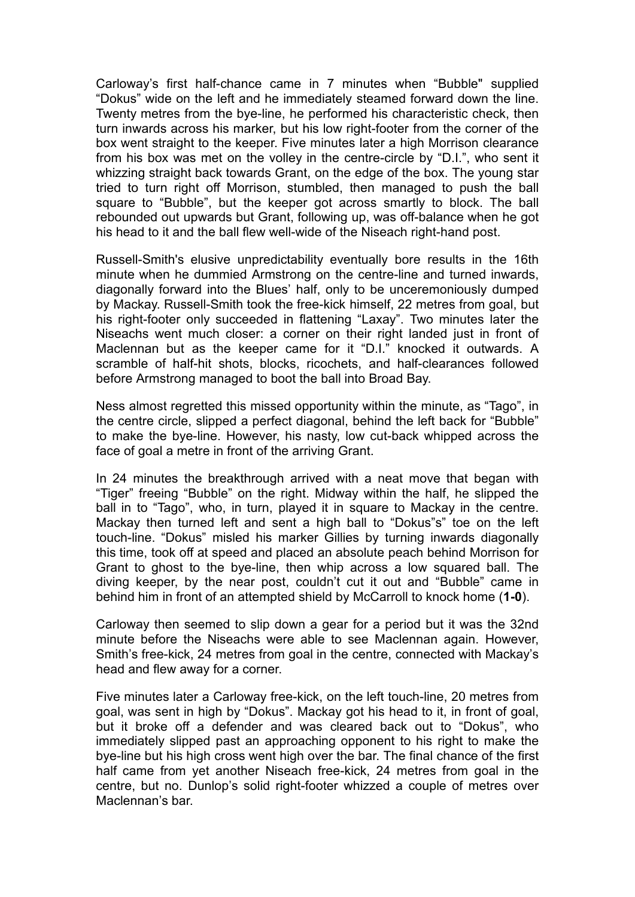Carloway's first half-chance came in 7 minutes when "Bubble" supplied "Dokus" wide on the left and he immediately steamed forward down the line. Twenty metres from the bye-line, he performed his characteristic check, then turn inwards across his marker, but his low right-footer from the corner of the box went straight to the keeper. Five minutes later a high Morrison clearance from his box was met on the volley in the centre-circle by "D.I.", who sent it whizzing straight back towards Grant, on the edge of the box. The young star tried to turn right off Morrison, stumbled, then managed to push the ball square to "Bubble", but the keeper got across smartly to block. The ball rebounded out upwards but Grant, following up, was off-balance when he got his head to it and the ball flew well-wide of the Niseach right-hand post.

Russell-Smith's elusive unpredictability eventually bore results in the 16th minute when he dummied Armstrong on the centre-line and turned inwards, diagonally forward into the Blues' half, only to be unceremoniously dumped by Mackay. Russell-Smith took the free-kick himself, 22 metres from goal, but his right-footer only succeeded in flattening "Laxay". Two minutes later the Niseachs went much closer: a corner on their right landed just in front of Maclennan but as the keeper came for it "D.I." knocked it outwards. A scramble of half-hit shots, blocks, ricochets, and half-clearances followed before Armstrong managed to boot the ball into Broad Bay.

Ness almost regretted this missed opportunity within the minute, as "Tago", in the centre circle, slipped a perfect diagonal, behind the left back for "Bubble" to make the bye-line. However, his nasty, low cut-back whipped across the face of goal a metre in front of the arriving Grant.

In 24 minutes the breakthrough arrived with a neat move that began with "Tiger" freeing "Bubble" on the right. Midway within the half, he slipped the ball in to "Tago", who, in turn, played it in square to Mackay in the centre. Mackay then turned left and sent a high ball to "Dokus"s" toe on the left touch-line. "Dokus" misled his marker Gillies by turning inwards diagonally this time, took off at speed and placed an absolute peach behind Morrison for Grant to ghost to the bye-line, then whip across a low squared ball. The diving keeper, by the near post, couldn't cut it out and "Bubble" came in behind him in front of an attempted shield by McCarroll to knock home (**1-0**).

Carloway then seemed to slip down a gear for a period but it was the 32nd minute before the Niseachs were able to see Maclennan again. However, Smith's free-kick, 24 metres from goal in the centre, connected with Mackay's head and flew away for a corner.

Five minutes later a Carloway free-kick, on the left touch-line, 20 metres from goal, was sent in high by "Dokus". Mackay got his head to it, in front of goal, but it broke off a defender and was cleared back out to "Dokus", who immediately slipped past an approaching opponent to his right to make the bye-line but his high cross went high over the bar. The final chance of the first half came from yet another Niseach free-kick, 24 metres from goal in the centre, but no. Dunlop's solid right-footer whizzed a couple of metres over Maclennan's bar.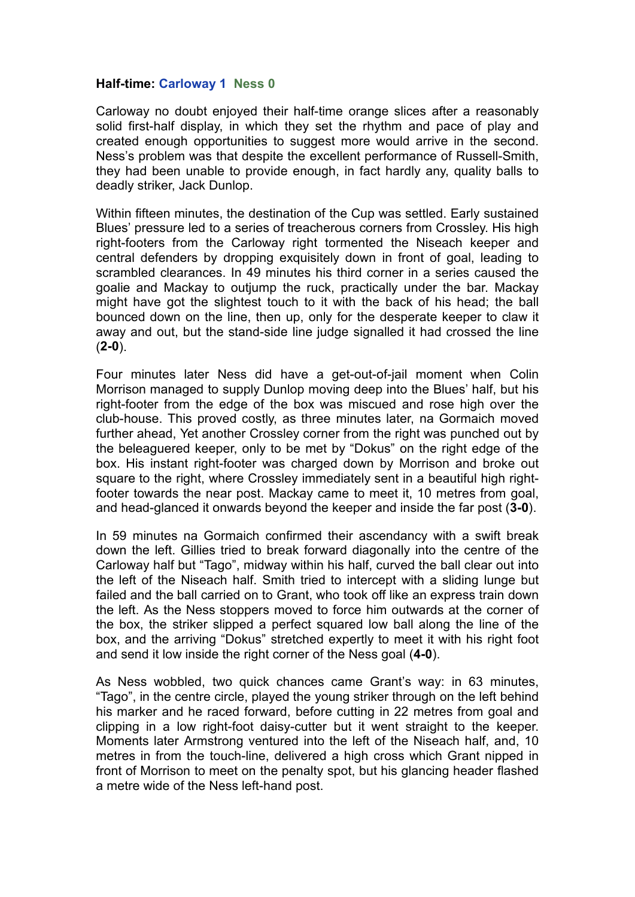## **Half-time: Carloway 1 Ness 0**

Carloway no doubt enjoyed their half-time orange slices after a reasonably solid first-half display, in which they set the rhythm and pace of play and created enough opportunities to suggest more would arrive in the second. Ness's problem was that despite the excellent performance of Russell-Smith, they had been unable to provide enough, in fact hardly any, quality balls to deadly striker, Jack Dunlop.

Within fifteen minutes, the destination of the Cup was settled. Early sustained Blues' pressure led to a series of treacherous corners from Crossley. His high right-footers from the Carloway right tormented the Niseach keeper and central defenders by dropping exquisitely down in front of goal, leading to scrambled clearances. In 49 minutes his third corner in a series caused the goalie and Mackay to outjump the ruck, practically under the bar. Mackay might have got the slightest touch to it with the back of his head; the ball bounced down on the line, then up, only for the desperate keeper to claw it away and out, but the stand-side line judge signalled it had crossed the line (**2-0**).

Four minutes later Ness did have a get-out-of-jail moment when Colin Morrison managed to supply Dunlop moving deep into the Blues' half, but his right-footer from the edge of the box was miscued and rose high over the club-house. This proved costly, as three minutes later, na Gormaich moved further ahead, Yet another Crossley corner from the right was punched out by the beleaguered keeper, only to be met by "Dokus" on the right edge of the box. His instant right-footer was charged down by Morrison and broke out square to the right, where Crossley immediately sent in a beautiful high rightfooter towards the near post. Mackay came to meet it, 10 metres from goal, and head-glanced it onwards beyond the keeper and inside the far post (**3-0**).

In 59 minutes na Gormaich confirmed their ascendancy with a swift break down the left. Gillies tried to break forward diagonally into the centre of the Carloway half but "Tago", midway within his half, curved the ball clear out into the left of the Niseach half. Smith tried to intercept with a sliding lunge but failed and the ball carried on to Grant, who took off like an express train down the left. As the Ness stoppers moved to force him outwards at the corner of the box, the striker slipped a perfect squared low ball along the line of the box, and the arriving "Dokus" stretched expertly to meet it with his right foot and send it low inside the right corner of the Ness goal (**4-0**).

As Ness wobbled, two quick chances came Grant's way: in 63 minutes, "Tago", in the centre circle, played the young striker through on the left behind his marker and he raced forward, before cutting in 22 metres from goal and clipping in a low right-foot daisy-cutter but it went straight to the keeper. Moments later Armstrong ventured into the left of the Niseach half, and, 10 metres in from the touch-line, delivered a high cross which Grant nipped in front of Morrison to meet on the penalty spot, but his glancing header flashed a metre wide of the Ness left-hand post.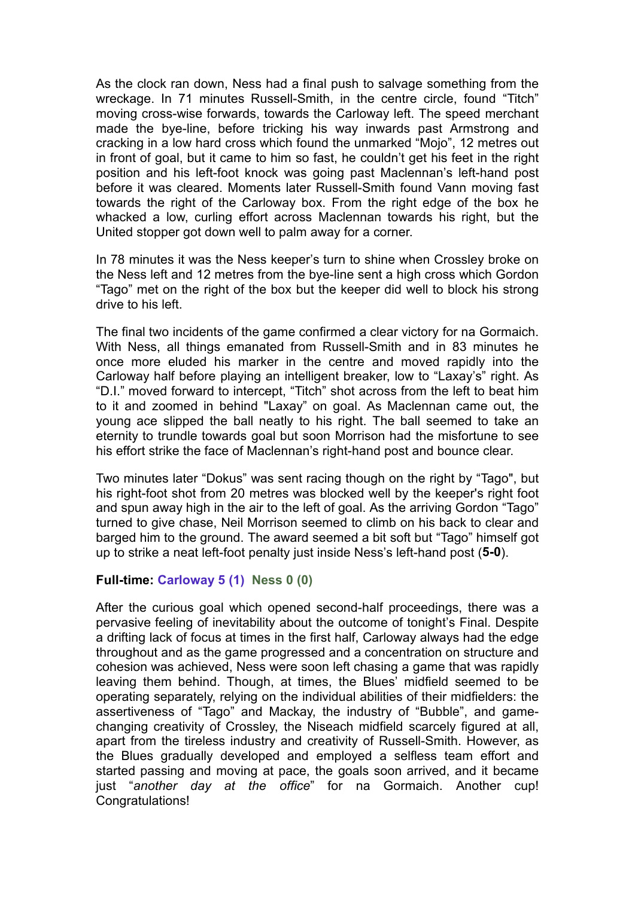As the clock ran down, Ness had a final push to salvage something from the wreckage. In 71 minutes Russell-Smith, in the centre circle, found "Titch" moving cross-wise forwards, towards the Carloway left. The speed merchant made the bye-line, before tricking his way inwards past Armstrong and cracking in a low hard cross which found the unmarked "Mojo", 12 metres out in front of goal, but it came to him so fast, he couldn't get his feet in the right position and his left-foot knock was going past Maclennan's left-hand post before it was cleared. Moments later Russell-Smith found Vann moving fast towards the right of the Carloway box. From the right edge of the box he whacked a low, curling effort across Maclennan towards his right, but the United stopper got down well to palm away for a corner.

In 78 minutes it was the Ness keeper's turn to shine when Crossley broke on the Ness left and 12 metres from the bye-line sent a high cross which Gordon "Tago" met on the right of the box but the keeper did well to block his strong drive to his left.

The final two incidents of the game confirmed a clear victory for na Gormaich. With Ness, all things emanated from Russell-Smith and in 83 minutes he once more eluded his marker in the centre and moved rapidly into the Carloway half before playing an intelligent breaker, low to "Laxay's" right. As "D.I." moved forward to intercept, "Titch" shot across from the left to beat him to it and zoomed in behind "Laxay" on goal. As Maclennan came out, the young ace slipped the ball neatly to his right. The ball seemed to take an eternity to trundle towards goal but soon Morrison had the misfortune to see his effort strike the face of Maclennan's right-hand post and bounce clear.

Two minutes later "Dokus" was sent racing though on the right by "Tago", but his right-foot shot from 20 metres was blocked well by the keeper's right foot and spun away high in the air to the left of goal. As the arriving Gordon "Tago" turned to give chase, Neil Morrison seemed to climb on his back to clear and barged him to the ground. The award seemed a bit soft but "Tago" himself got up to strike a neat left-foot penalty just inside Ness's left-hand post (**5-0**).

## **Full-time: Carloway 5 (1) Ness 0 (0)**

After the curious goal which opened second-half proceedings, there was a pervasive feeling of inevitability about the outcome of tonight's Final. Despite a drifting lack of focus at times in the first half, Carloway always had the edge throughout and as the game progressed and a concentration on structure and cohesion was achieved, Ness were soon left chasing a game that was rapidly leaving them behind. Though, at times, the Blues' midfield seemed to be operating separately, relying on the individual abilities of their midfielders: the assertiveness of "Tago" and Mackay, the industry of "Bubble", and gamechanging creativity of Crossley, the Niseach midfield scarcely figured at all, apart from the tireless industry and creativity of Russell-Smith. However, as the Blues gradually developed and employed a selfless team effort and started passing and moving at pace, the goals soon arrived, and it became just "*another day at the office*" for na Gormaich. Another cup! Congratulations!